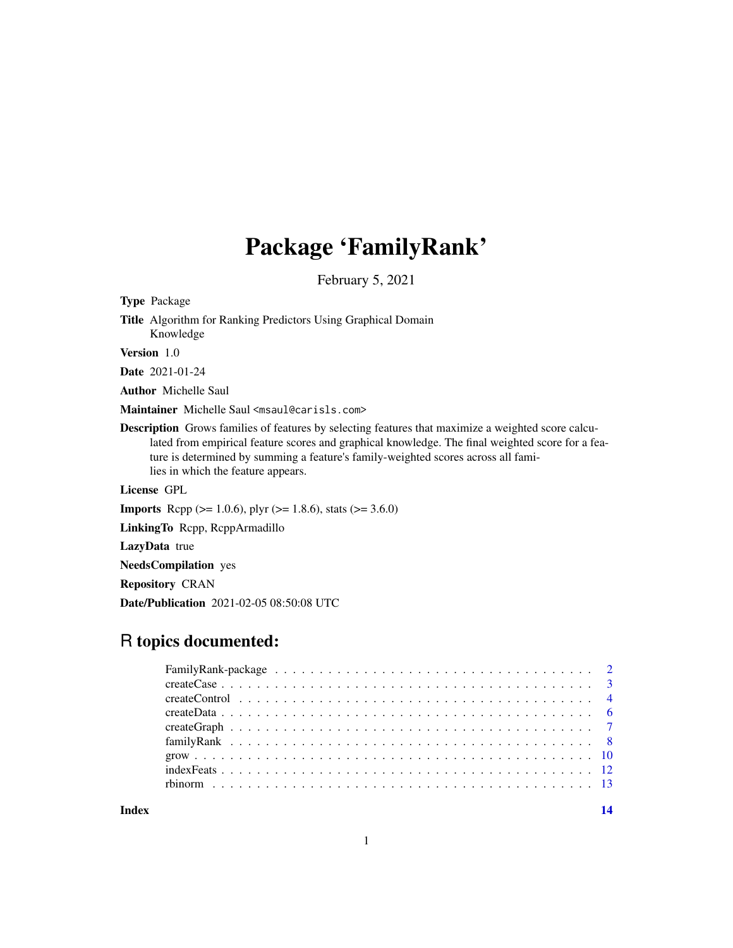# Package 'FamilyRank'

February 5, 2021

| <b>Title</b> Algorithm for Ranking Predictors Using Graphical Domain<br>Knowledge                                                                                                                                                                                                                                                        |
|------------------------------------------------------------------------------------------------------------------------------------------------------------------------------------------------------------------------------------------------------------------------------------------------------------------------------------------|
| <b>Version</b> 1.0                                                                                                                                                                                                                                                                                                                       |
| <b>Date</b> 2021-01-24                                                                                                                                                                                                                                                                                                                   |
| <b>Author</b> Michelle Saul                                                                                                                                                                                                                                                                                                              |
| Maintainer Michelle Saul <msaul@carisls.com></msaul@carisls.com>                                                                                                                                                                                                                                                                         |
| <b>Description</b> Grows families of features by selecting features that maximize a weighted score calcu-<br>lated from empirical feature scores and graphical knowledge. The final weighted score for a fea-<br>ture is determined by summing a feature's family-weighted scores across all fami-<br>lies in which the feature appears. |
| License GPL                                                                                                                                                                                                                                                                                                                              |
| <b>Imports</b> Repp ( $> = 1.0.6$ ), plyr ( $> = 1.8.6$ ), stats ( $> = 3.6.0$ )                                                                                                                                                                                                                                                         |
| LinkingTo Repp, ReppArmadillo                                                                                                                                                                                                                                                                                                            |
| <b>LazyData</b> true                                                                                                                                                                                                                                                                                                                     |
| <b>NeedsCompilation</b> yes                                                                                                                                                                                                                                                                                                              |
| <b>Repository CRAN</b>                                                                                                                                                                                                                                                                                                                   |

Date/Publication 2021-02-05 08:50:08 UTC

# R topics documented:

<span id="page-0-0"></span>Type Package

**Index** 2008 **[14](#page-13-0)**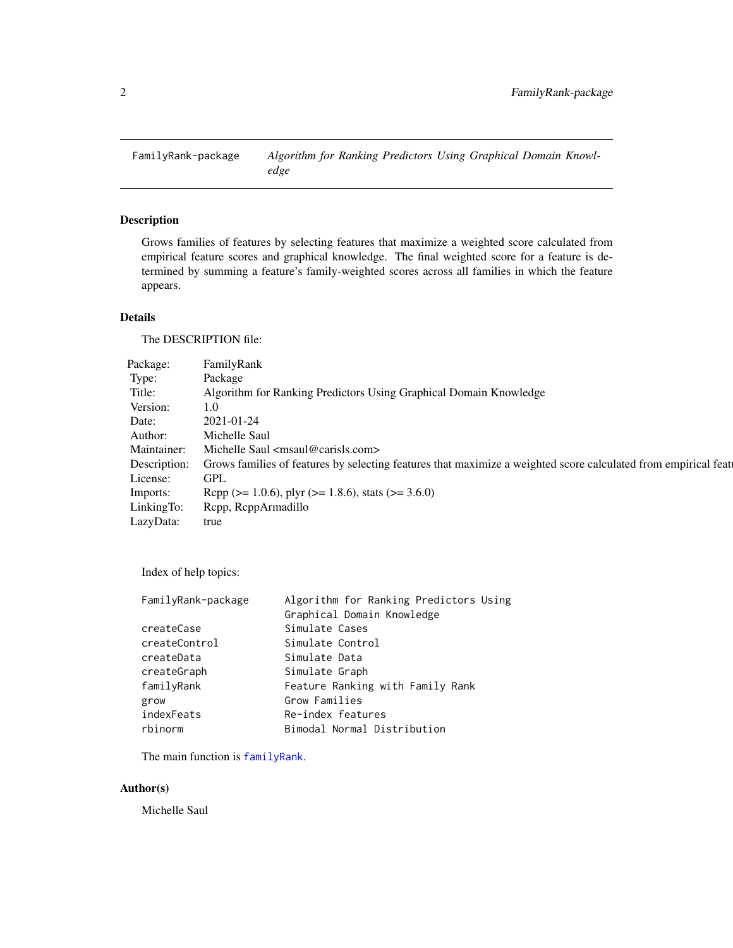<span id="page-1-0"></span>FamilyRank-package *Algorithm for Ranking Predictors Using Graphical Domain Knowledge*

# Description

Grows families of features by selecting features that maximize a weighted score calculated from empirical feature scores and graphical knowledge. The final weighted score for a feature is determined by summing a feature's family-weighted scores across all families in which the feature appears.

# Details

The DESCRIPTION file:

| FamilyRank                                                                                                                  |
|-----------------------------------------------------------------------------------------------------------------------------|
| Package                                                                                                                     |
| Algorithm for Ranking Predictors Using Graphical Domain Knowledge                                                           |
| 1.0                                                                                                                         |
| 2021-01-24                                                                                                                  |
| Michelle Saul                                                                                                               |
| Michelle Saul <msaul@carisls.com></msaul@carisls.com>                                                                       |
| Description: Grows families of features by selecting features that maximize a weighted score calculated from empirical feat |
| GPL                                                                                                                         |
| Rcpp ( $> = 1.0.6$ ), plyr ( $> = 1.8.6$ ), stats ( $> = 3.6.0$ )                                                           |
| Rcpp, RcppArmadillo                                                                                                         |
|                                                                                                                             |
|                                                                                                                             |

Index of help topics:

| FamilyRank-package | Algorithm for Ranking Predictors Using |
|--------------------|----------------------------------------|
|                    | Graphical Domain Knowledge             |
| createCase         | Simulate Cases                         |
| createControl      | Simulate Control                       |
| createData         | Simulate Data                          |
| createGraph        | Simulate Graph                         |
| familyRank         | Feature Ranking with Family Rank       |
| grow               | Grow Families                          |
| indexFeats         | Re-index features                      |
| rbinorm            | Bimodal Normal Distribution            |

The main function is [familyRank](#page-7-1).

# Author(s)

Michelle Saul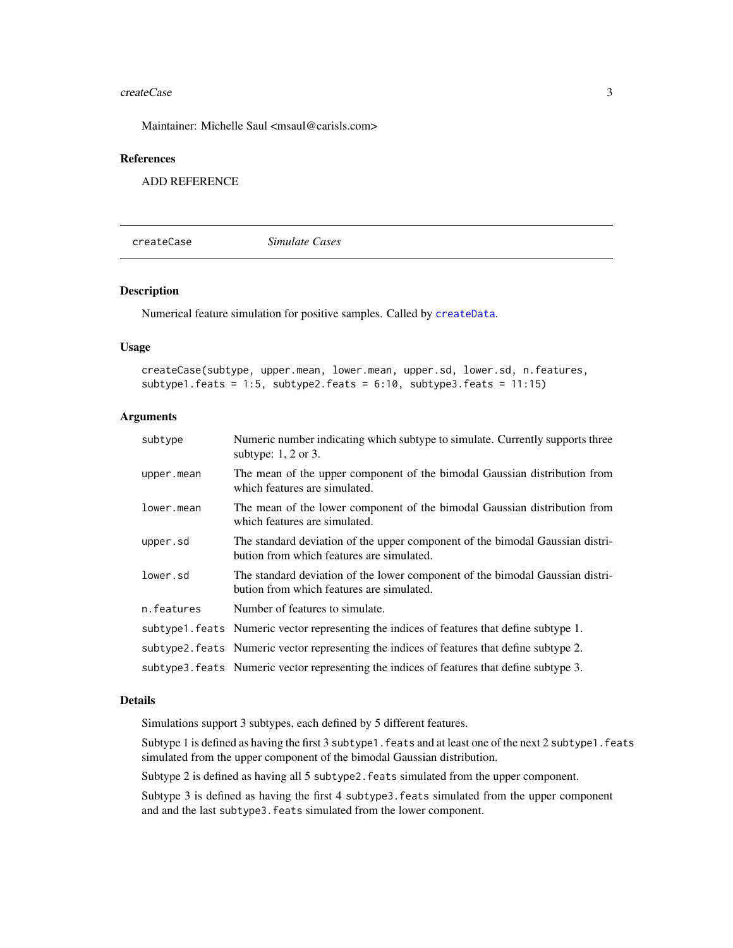#### <span id="page-2-0"></span> $\text{createCase}$  3

Maintainer: Michelle Saul <msaul@carisls.com>

# References

ADD REFERENCE

<span id="page-2-1"></span>createCase *Simulate Cases*

## Description

Numerical feature simulation for positive samples. Called by [createData](#page-5-1).

#### Usage

```
createCase(subtype, upper.mean, lower.mean, upper.sd, lower.sd, n.features,
subtype1.feats = 1:5, subtype2.feats = 6:10, subtype3.feats = 11:15)
```
# Arguments

| subtype    | Numeric number indicating which subtype to simulate. Currently supports three<br>subtype: $1, 2$ or $3.$                   |
|------------|----------------------------------------------------------------------------------------------------------------------------|
| upper.mean | The mean of the upper component of the bimodal Gaussian distribution from<br>which features are simulated.                 |
| lower.mean | The mean of the lower component of the bimodal Gaussian distribution from<br>which features are simulated.                 |
| upper.sd   | The standard deviation of the upper component of the bimodal Gaussian distri-<br>bution from which features are simulated. |
| lower.sd   | The standard deviation of the lower component of the bimodal Gaussian distri-<br>bution from which features are simulated. |
| n.features | Number of features to simulate.                                                                                            |
|            | subtype1. feats Numeric vector representing the indices of features that define subtype 1.                                 |
|            | subtype2. feats Numeric vector representing the indices of features that define subtype 2.                                 |
|            | subtype 3. feats Numeric vector representing the indices of features that define subtype 3.                                |

#### Details

Simulations support 3 subtypes, each defined by 5 different features.

Subtype 1 is defined as having the first 3 subtype1.feats and at least one of the next 2 subtype1.feats simulated from the upper component of the bimodal Gaussian distribution.

Subtype 2 is defined as having all 5 subtype2. feats simulated from the upper component.

Subtype 3 is defined as having the first 4 subtype3.feats simulated from the upper component and and the last subtype3.feats simulated from the lower component.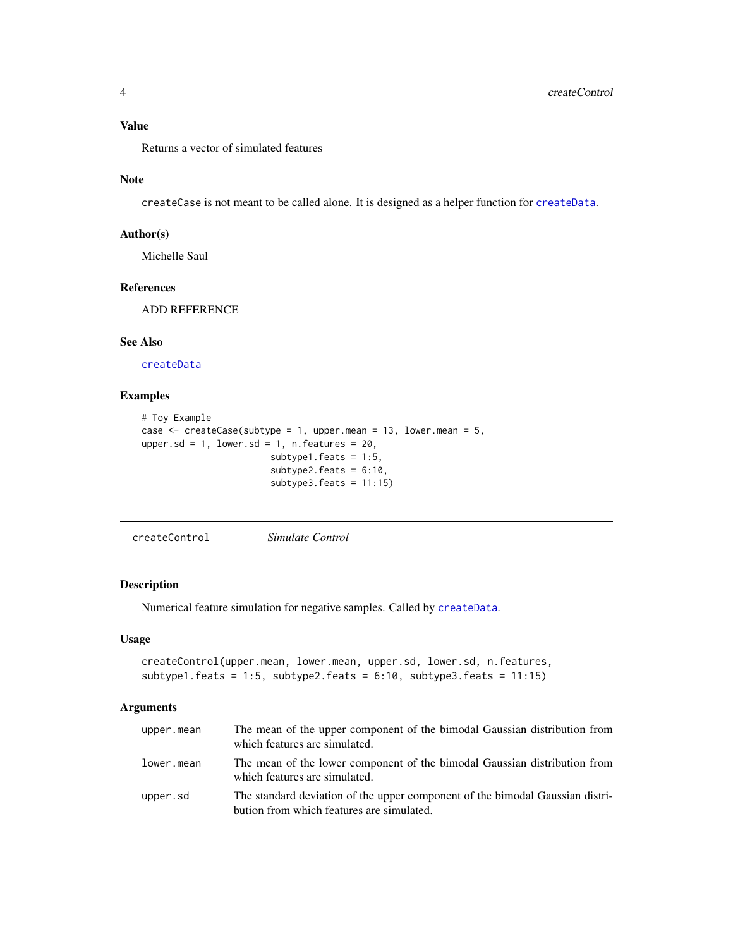# <span id="page-3-0"></span>Value

Returns a vector of simulated features

#### Note

createCase is not meant to be called alone. It is designed as a helper function for [createData](#page-5-1).

#### Author(s)

Michelle Saul

#### References

ADD REFERENCE

# See Also

[createData](#page-5-1)

# Examples

```
# Toy Example
case \leq createCase(subtype = 1, upper.mean = 13, lower.mean = 5,
upper.sd = 1, lower.sd = 1, n.features = 20,
                        subtype1.feats = 1:5,
                        subtype2.feats = 6:10,
                        subtype3.feats = 11:15)
```
<span id="page-3-1"></span>createControl *Simulate Control*

# Description

Numerical feature simulation for negative samples. Called by [createData](#page-5-1).

# Usage

```
createControl(upper.mean, lower.mean, upper.sd, lower.sd, n.features,
subtype1.feats = 1:5, subtype2.feats = 6:10, subtype3.feats = 11:15)
```
#### Arguments

| upper.mean | The mean of the upper component of the bimodal Gaussian distribution from<br>which features are simulated.                 |
|------------|----------------------------------------------------------------------------------------------------------------------------|
| lower.mean | The mean of the lower component of the bimodal Gaussian distribution from<br>which features are simulated.                 |
| upper.sd   | The standard deviation of the upper component of the bimodal Gaussian distri-<br>bution from which features are simulated. |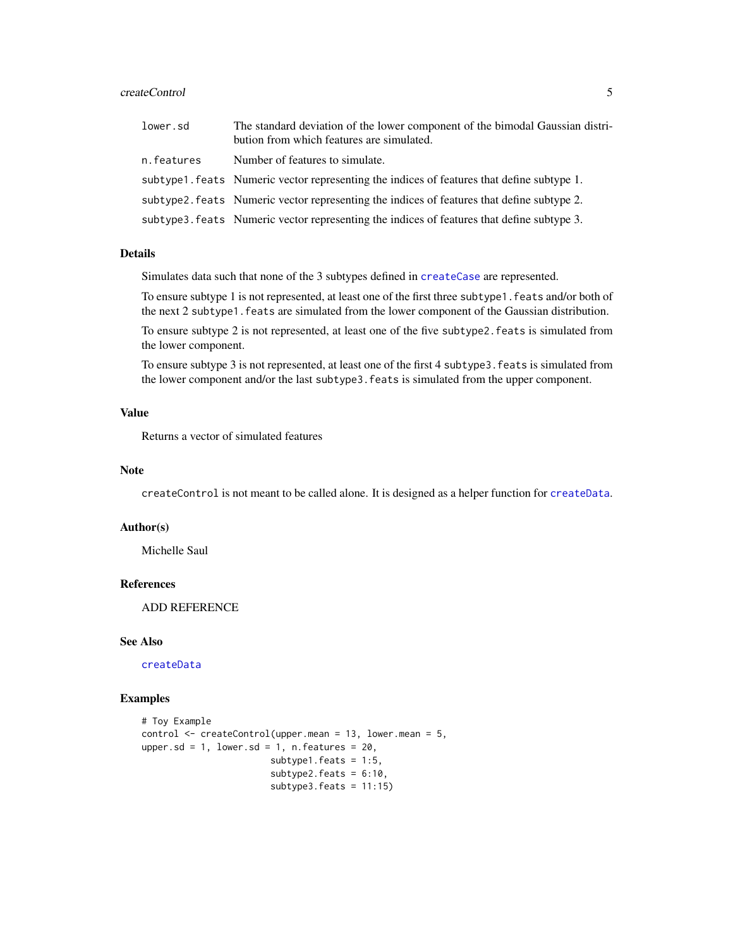# <span id="page-4-0"></span>createControl 5

| lower.sd   | The standard deviation of the lower component of the bimodal Gaussian distri-<br>bution from which features are simulated. |
|------------|----------------------------------------------------------------------------------------------------------------------------|
| n.features | Number of features to simulate.                                                                                            |
|            | subtype 1. feats Numeric vector representing the indices of features that define subtype 1.                                |
|            | subtype2. feats Numeric vector representing the indices of features that define subtype 2.                                 |
|            | subtype3. feats Numeric vector representing the indices of features that define subtype 3.                                 |

#### Details

Simulates data such that none of the 3 subtypes defined in [createCase](#page-2-1) are represented.

To ensure subtype 1 is not represented, at least one of the first three subtype1.feats and/or both of the next 2 subtype1. feats are simulated from the lower component of the Gaussian distribution.

To ensure subtype 2 is not represented, at least one of the five subtype2.feats is simulated from the lower component.

To ensure subtype 3 is not represented, at least one of the first 4 subtype3.feats is simulated from the lower component and/or the last subtype3.feats is simulated from the upper component.

# Value

Returns a vector of simulated features

#### Note

createControl is not meant to be called alone. It is designed as a helper function for [createData](#page-5-1).

#### Author(s)

Michelle Saul

#### References

ADD REFERENCE

#### See Also

[createData](#page-5-1)

# Examples

```
# Toy Example
control <- createControl(upper.mean = 13, lower.mean = 5,
upper.sd = 1, lower.sd = 1, n.features = 20,
                       subtype1.feats = 1:5,
                       subtype2.feats = 6:10,subtype3.feats = 11:15
```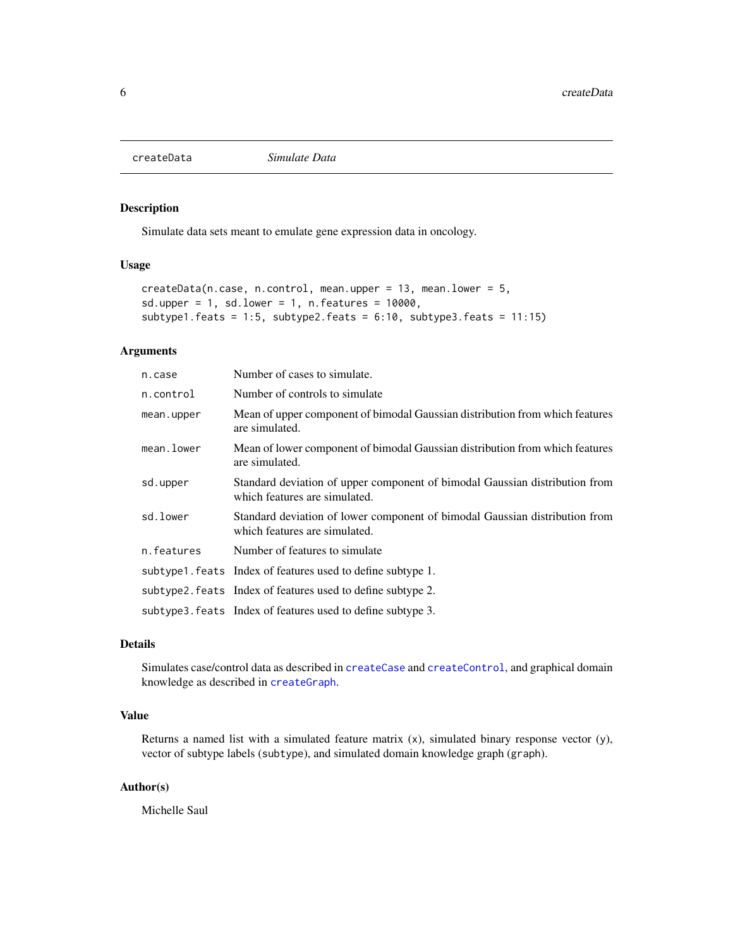<span id="page-5-1"></span><span id="page-5-0"></span>

#### Description

Simulate data sets meant to emulate gene expression data in oncology.

# Usage

```
createData(n.case, n.control, mean.upper = 13, mean.lower = 5,
sd.upper = 1, sd.lower = 1, n.features = 10000,
subtype1.feats = 1:5, subtype2.feats = 6:10, subtype3.feats = 11:15)
```
# Arguments

| n.case     | Number of cases to simulate.                                                                                 |
|------------|--------------------------------------------------------------------------------------------------------------|
| n.control  | Number of controls to simulate                                                                               |
| mean.upper | Mean of upper component of bimodal Gaussian distribution from which features<br>are simulated.               |
| mean.lower | Mean of lower component of bimodal Gaussian distribution from which features<br>are simulated.               |
| sd.upper   | Standard deviation of upper component of bimodal Gaussian distribution from<br>which features are simulated. |
| sd.lower   | Standard deviation of lower component of bimodal Gaussian distribution from<br>which features are simulated. |
| n.features | Number of features to simulate.                                                                              |
|            | subtype1. feats Index of features used to define subtype 1.                                                  |
|            | subtype2. feats Index of features used to define subtype 2.                                                  |
|            | subtype3. feats Index of features used to define subtype 3.                                                  |

# Details

Simulates case/control data as described in [createCase](#page-2-1) and [createControl](#page-3-1), and graphical domain knowledge as described in [createGraph](#page-6-1).

# Value

Returns a named list with a simulated feature matrix  $(x)$ , simulated binary response vector  $(y)$ , vector of subtype labels (subtype), and simulated domain knowledge graph (graph).

#### Author(s)

Michelle Saul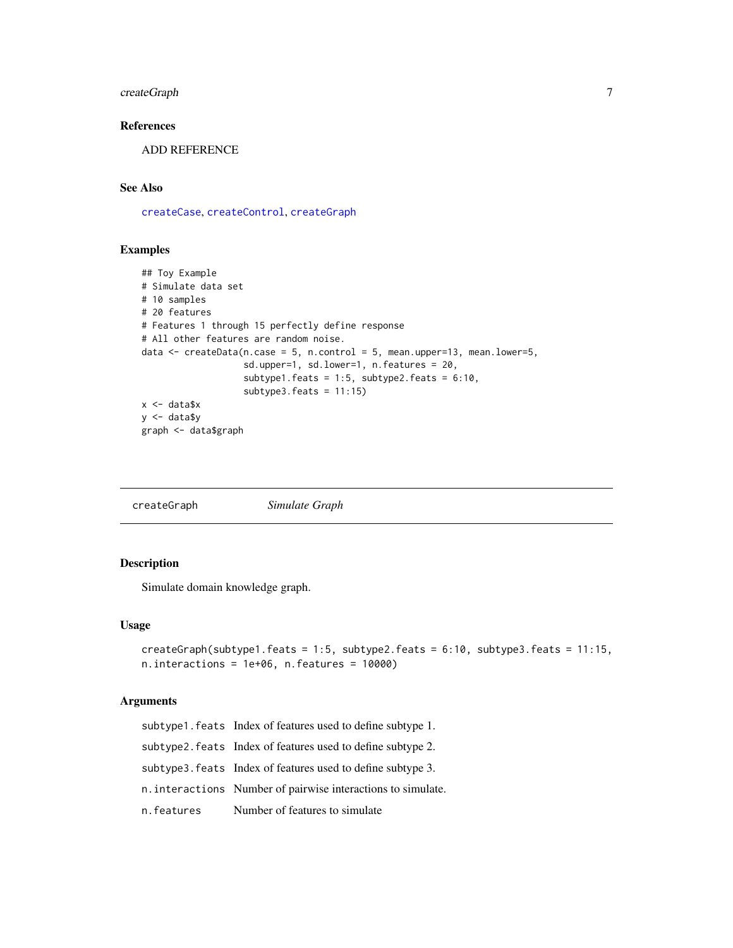# <span id="page-6-0"></span>createGraph 7

# References

ADD REFERENCE

# See Also

[createCase](#page-2-1), [createControl](#page-3-1), [createGraph](#page-6-1)

# Examples

```
## Toy Example
# Simulate data set
# 10 samples
# 20 features
# Features 1 through 15 perfectly define response
# All other features are random noise.
data \le - createData(n.case = 5, n.control = 5, mean.upper=13, mean.lower=5,
                   sd.upper=1, sd.lower=1, n.features = 20,
                   subtype1.feats = 1:5, subtype2.feats = 6:10,
                   subtype3.feats = 11:15x <- data$x
y <- data$y
graph <- data$graph
```
<span id="page-6-1"></span>createGraph *Simulate Graph*

# Description

Simulate domain knowledge graph.

#### Usage

```
createGraph(subtype1.feats = 1:5, subtype2.feats = 6:10, subtype3.feats = 11:15,
n.interactions = 1e+06, n.features = 10000)
```
#### Arguments

subtype1. feats Index of features used to define subtype 1. subtype2.feats Index of features used to define subtype 2. subtype3.feats Index of features used to define subtype 3. n.interactions Number of pairwise interactions to simulate. n.features Number of features to simulate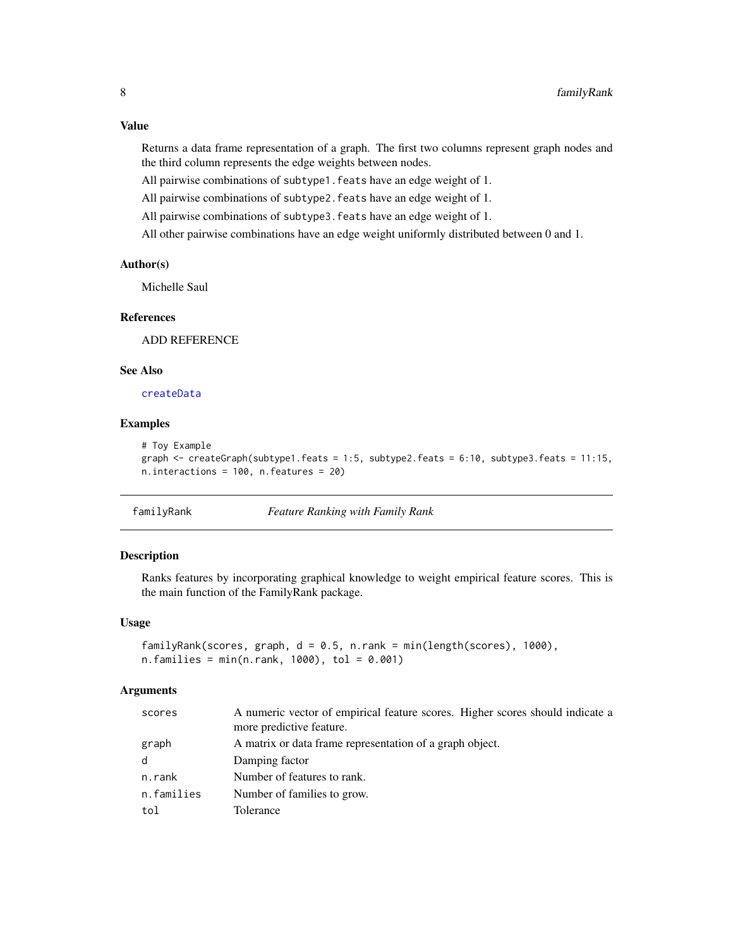# <span id="page-7-0"></span>Value

Returns a data frame representation of a graph. The first two columns represent graph nodes and the third column represents the edge weights between nodes.

All pairwise combinations of subtype1.feats have an edge weight of 1.

All pairwise combinations of subtype2.feats have an edge weight of 1.

All pairwise combinations of subtype3.feats have an edge weight of 1.

All other pairwise combinations have an edge weight uniformly distributed between 0 and 1.

#### Author(s)

Michelle Saul

#### References

ADD REFERENCE

# See Also

[createData](#page-5-1)

## Examples

```
# Toy Example
graph \le createGraph(subtype1.feats = 1:5, subtype2.feats = 6:10, subtype3.feats = 11:15,
n.interactions = 100, n.features = 20)
```
<span id="page-7-1"></span>familyRank *Feature Ranking with Family Rank*

#### Description

Ranks features by incorporating graphical knowledge to weight empirical feature scores. This is the main function of the FamilyRank package.

#### Usage

```
familyRank(scores, graph, d = 0.5, n.rank = min(length(scores), 1000),
n.families = min(n.rank, 1000), tol = 0.001)
```
# Arguments

| scores     | A numeric vector of empirical feature scores. Higher scores should indicate a<br>more predictive feature. |
|------------|-----------------------------------------------------------------------------------------------------------|
| graph      | A matrix or data frame representation of a graph object.                                                  |
| d          | Damping factor                                                                                            |
| n.rank     | Number of features to rank.                                                                               |
| n.families | Number of families to grow.                                                                               |
| tol        | Tolerance                                                                                                 |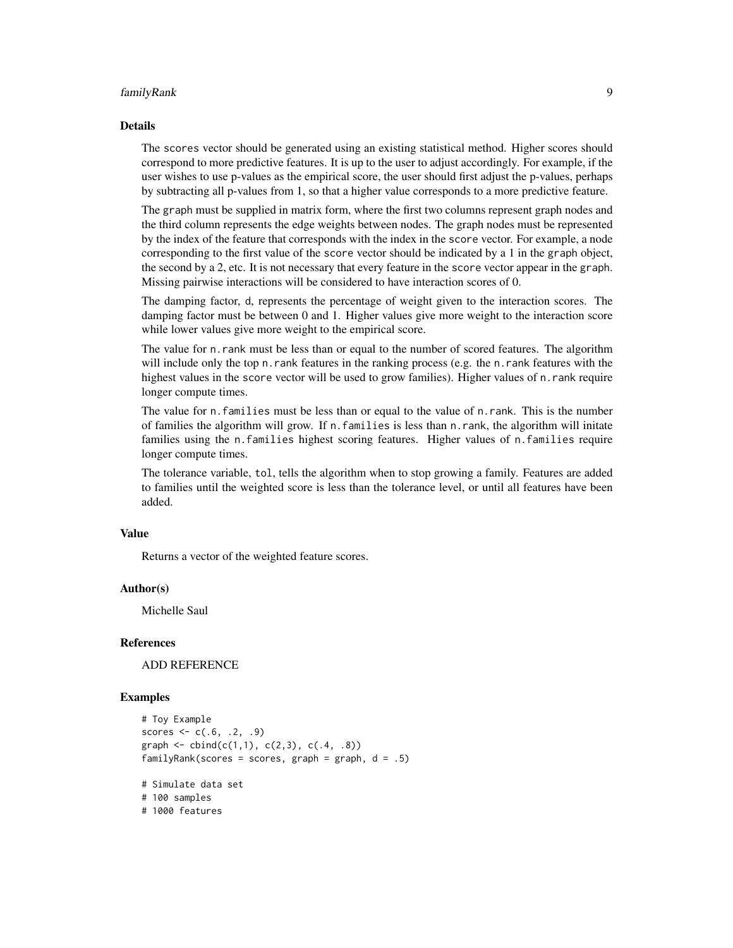### familyRank 9

#### Details

The scores vector should be generated using an existing statistical method. Higher scores should correspond to more predictive features. It is up to the user to adjust accordingly. For example, if the user wishes to use p-values as the empirical score, the user should first adjust the p-values, perhaps by subtracting all p-values from 1, so that a higher value corresponds to a more predictive feature.

The graph must be supplied in matrix form, where the first two columns represent graph nodes and the third column represents the edge weights between nodes. The graph nodes must be represented by the index of the feature that corresponds with the index in the score vector. For example, a node corresponding to the first value of the score vector should be indicated by a 1 in the graph object, the second by a 2, etc. It is not necessary that every feature in the score vector appear in the graph. Missing pairwise interactions will be considered to have interaction scores of 0.

The damping factor, d, represents the percentage of weight given to the interaction scores. The damping factor must be between 0 and 1. Higher values give more weight to the interaction score while lower values give more weight to the empirical score.

The value for n.rank must be less than or equal to the number of scored features. The algorithm will include only the top n. rank features in the ranking process (e.g. the n. rank features with the highest values in the score vector will be used to grow families). Higher values of n.rank require longer compute times.

The value for n.families must be less than or equal to the value of n.rank. This is the number of families the algorithm will grow. If n.families is less than n.rank, the algorithm will initate families using the n.families highest scoring features. Higher values of n.families require longer compute times.

The tolerance variable, tol, tells the algorithm when to stop growing a family. Features are added to families until the weighted score is less than the tolerance level, or until all features have been added.

#### Value

Returns a vector of the weighted feature scores.

#### Author(s)

Michelle Saul

#### **References**

ADD REFERENCE

### Examples

```
# Toy Example
scores <-c(.6, .2, .9)graph \leq \text{cbind}(c(1,1), c(2,3), c(.4, .8))familyRank(scores = scores, graph = graph, d = .5)
# Simulate data set
# 100 samples
# 1000 features
```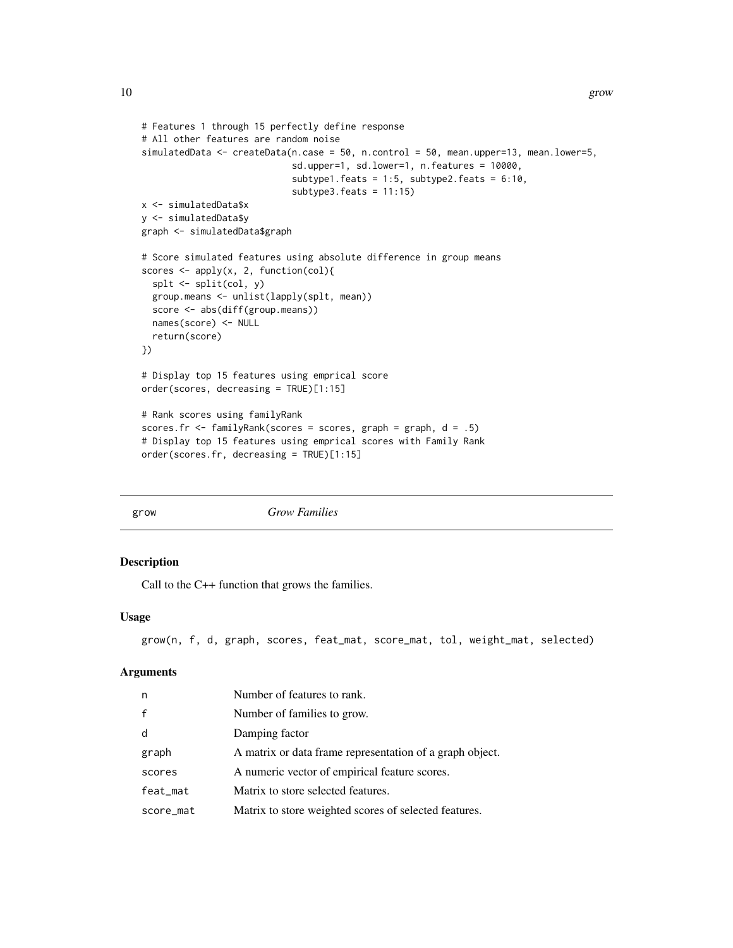```
# Features 1 through 15 perfectly define response
# All other features are random noise
simulatedData <- createData(n.case = 50, n.control = 50, mean.upper=13, mean.lower=5,
                            sd.upper=1, sd.lower=1, n.features = 10000,
                            subtype1.feats = 1:5, subtype2.feats = 6:10,
                            subtype3.feats = 11:15)
x <- simulatedData$x
y <- simulatedData$y
graph <- simulatedData$graph
# Score simulated features using absolute difference in group means
scores \leq apply(x, 2, function(col){
  splt <- split(col, y)
  group.means <- unlist(lapply(splt, mean))
  score <- abs(diff(group.means))
  names(score) <- NULL
  return(score)
})
# Display top 15 features using emprical score
order(scores, decreasing = TRUE)[1:15]
# Rank scores using familyRank
scores.fr <- familyRank(scores = scores, graph = graph, d = .5)
# Display top 15 features using emprical scores with Family Rank
order(scores.fr, decreasing = TRUE)[1:15]
```
grow *Grow Families*

#### Description

Call to the C++ function that grows the families.

#### Usage

```
grow(n, f, d, graph, scores, feat_mat, score_mat, tol, weight_mat, selected)
```
#### Arguments

| n            | Number of features to rank.                              |
|--------------|----------------------------------------------------------|
| $\mathbf{f}$ | Number of families to grow.                              |
| d            | Damping factor                                           |
| graph        | A matrix or data frame representation of a graph object. |
| scores       | A numeric vector of empirical feature scores.            |
| feat_mat     | Matrix to store selected features.                       |
| score_mat    | Matrix to store weighted scores of selected features.    |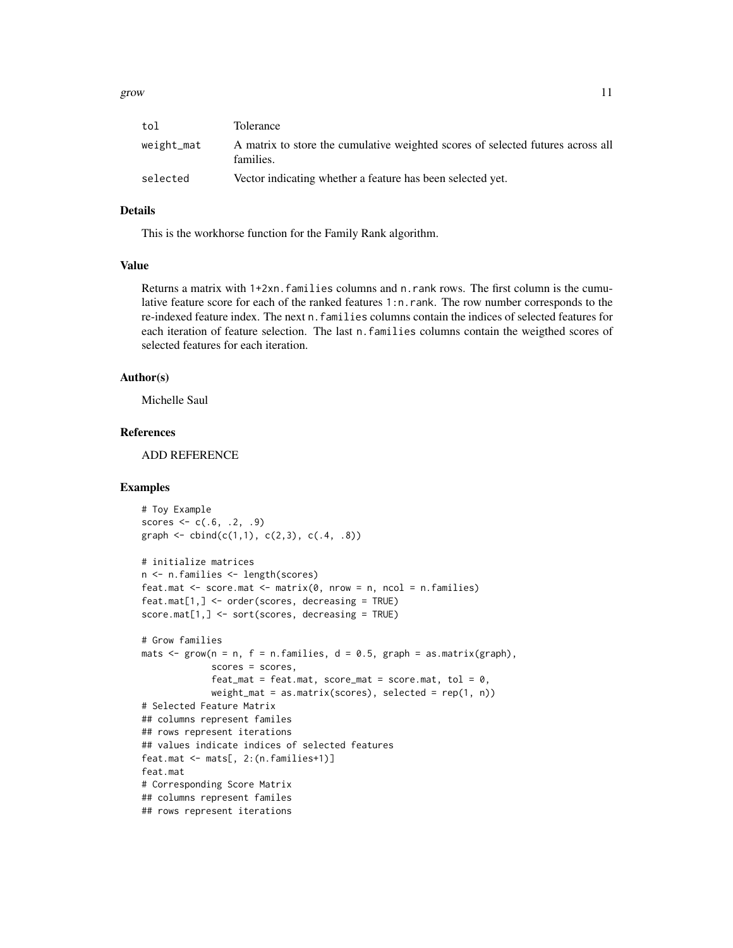| tol        | Tolerance                                                                                    |
|------------|----------------------------------------------------------------------------------------------|
| weight_mat | A matrix to store the cumulative weighted scores of selected futures across all<br>families. |
| selected   | Vector indicating whether a feature has been selected yet.                                   |

# Details

This is the workhorse function for the Family Rank algorithm.

#### Value

Returns a matrix with 1+2xn.families columns and n.rank rows. The first column is the cumulative feature score for each of the ranked features 1:n.rank. The row number corresponds to the re-indexed feature index. The next n.families columns contain the indices of selected features for each iteration of feature selection. The last n.families columns contain the weigthed scores of selected features for each iteration.

# Author(s)

Michelle Saul

#### References

ADD REFERENCE

#### Examples

```
# Toy Example
scores <-c(.6, .2, .9)graph \leq \text{cbind}(c(1,1), c(2,3), c(.4, .8))# initialize matrices
n <- n.families <- length(scores)
feat.mat \leq score.mat \leq matrix(0, nrow = n, ncol = n.families)
feat.mat[1,] <- order(scores, decreasing = TRUE)
score.mat[1,] <- sort(scores, decreasing = TRUE)
# Grow families
mats \leq grow(n = n, f = n.families, d = 0.5, graph = as.matrix(graph),
             scores = scores,
             feat_mat = feat.mat, score_mat = score.mat, tol = 0,
             weight_mat = as.matrix(scores), selected = rep(1, n))
# Selected Feature Matrix
## columns represent familes
## rows represent iterations
## values indicate indices of selected features
feat.mat <- mats[, 2:(n.families+1)]
feat.mat
# Corresponding Score Matrix
## columns represent familes
## rows represent iterations
```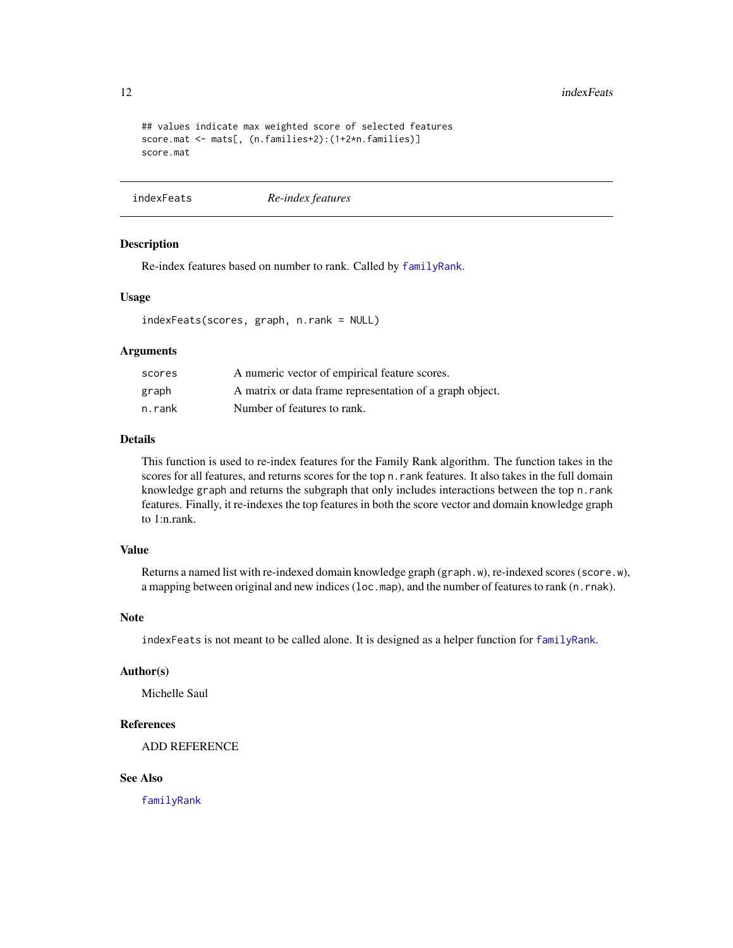```
## values indicate max weighted score of selected features
score.mat <- mats[, (n.families+2):(1+2*n.families)]
score.mat
```

```
indexFeats Re-index features
```
# Description

Re-index features based on number to rank. Called by [familyRank](#page-7-1).

#### Usage

```
indexFeats(scores, graph, n.rank = NULL)
```
#### Arguments

| scores | A numeric vector of empirical feature scores.            |
|--------|----------------------------------------------------------|
| graph  | A matrix or data frame representation of a graph object. |
| n.rank | Number of features to rank.                              |

# Details

This function is used to re-index features for the Family Rank algorithm. The function takes in the scores for all features, and returns scores for the top n. rank features. It also takes in the full domain knowledge graph and returns the subgraph that only includes interactions between the top n.rank features. Finally, it re-indexes the top features in both the score vector and domain knowledge graph to 1:n.rank.

#### Value

Returns a named list with re-indexed domain knowledge graph (graph.w), re-indexed scores (score.w), a mapping between original and new indices (loc.map), and the number of features to rank (n.rnak).

#### **Note**

indexFeats is not meant to be called alone. It is designed as a helper function for [familyRank](#page-7-1).

#### Author(s)

Michelle Saul

#### References

ADD REFERENCE

# See Also

[familyRank](#page-7-1)

<span id="page-11-0"></span>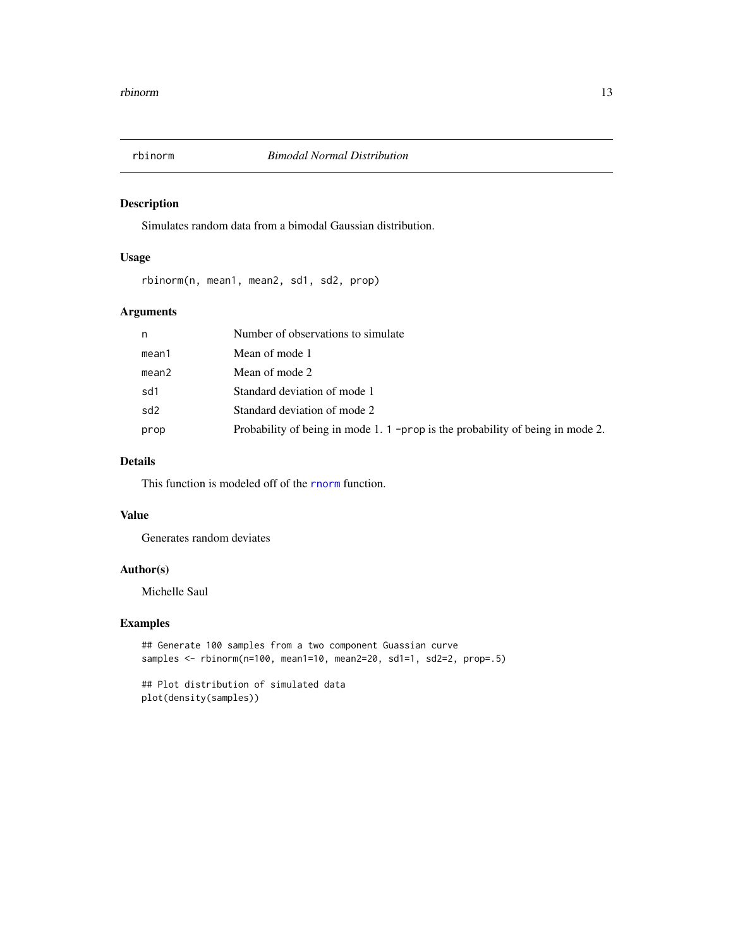<span id="page-12-0"></span>

# Description

Simulates random data from a bimodal Gaussian distribution.

# Usage

rbinorm(n, mean1, mean2, sd1, sd2, prop)

# Arguments

| n                 | Number of observations to simulate                                             |
|-------------------|--------------------------------------------------------------------------------|
| mean1             | Mean of mode 1                                                                 |
| mean <sub>2</sub> | Mean of mode 2                                                                 |
| sd1               | Standard deviation of mode 1                                                   |
| sd2               | Standard deviation of mode 2                                                   |
| prop              | Probability of being in mode 1. 1 -prop is the probability of being in mode 2. |

# Details

This function is modeled off of the [rnorm](#page-0-0) function.

#### Value

Generates random deviates

# Author(s)

Michelle Saul

# Examples

```
## Generate 100 samples from a two component Guassian curve
samples <- rbinorm(n=100, mean1=10, mean2=20, sd1=1, sd2=2, prop=.5)
```
## Plot distribution of simulated data plot(density(samples))